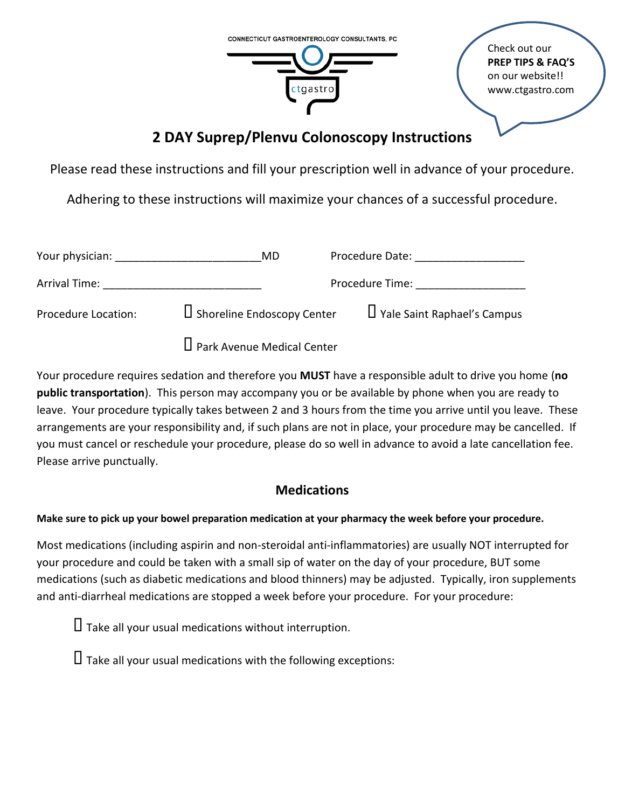

Check out our **PREP TIPS & FAQ'S** on our website!! www.ctgastro.com

# **2 DAY Suprep/Plenvu Colonoscopy Instructions**

Please read these instructions and fill your prescription well in advance of your procedure.

Adhering to these instructions will maximize your chances of a successful procedure.

| Your physician:     | MD                                | Procedure Date:                    |
|---------------------|-----------------------------------|------------------------------------|
| Arrival Time:       |                                   | Procedure Time:                    |
| Procedure Location: | $\Box$ Shoreline Endoscopy Center | $\Box$ Yale Saint Raphael's Campus |
|                     | □ Park Avenue Medical Center      |                                    |

Your procedure requires sedation and therefore you **MUST** have a responsible adult to drive you home (**no public transportation**). This person may accompany you or be available by phone when you are ready to leave. Your procedure typically takes between 2 and 3 hours from the time you arrive until you leave. These arrangements are your responsibility and, if such plans are not in place, your procedure may be cancelled. If you must cancel or reschedule your procedure, please do so well in advance to avoid a late cancellation fee. Please arrive punctually.

## **Medications**

**Make sure to pick up your bowel preparation medication at your pharmacy the week before your procedure.**

Most medications (including aspirin and non-steroidal anti-inflammatories) are usually NOT interrupted for your procedure and could be taken with a small sip of water on the day of your procedure, BUT some medications (such as diabetic medications and blood thinners) may be adjusted. Typically, iron supplements and anti-diarrheal medications are stopped a week before your procedure. For your procedure:

 $\Box$  Take all your usual medications without interruption.

 $\Box$  Take all your usual medications with the following exceptions: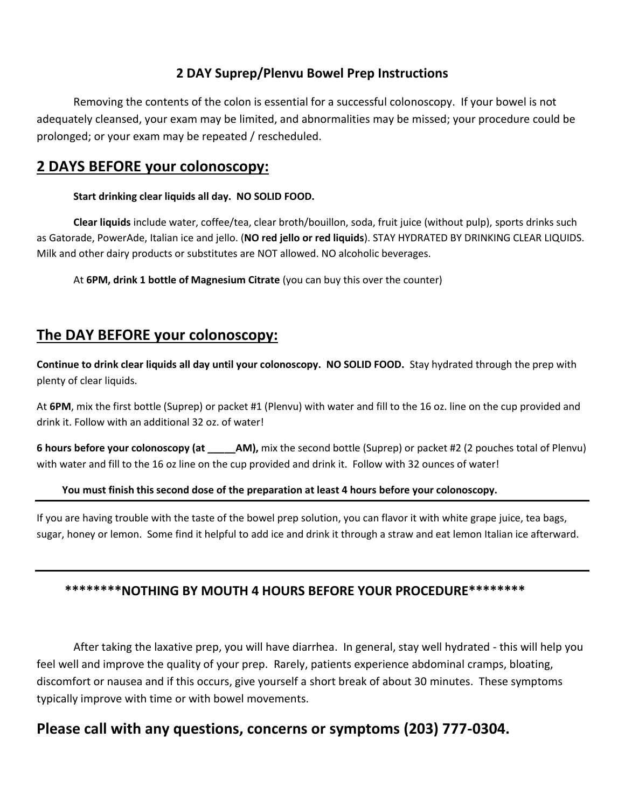#### **2 DAY Suprep/Plenvu Bowel Prep Instructions**

Removing the contents of the colon is essential for a successful colonoscopy. If your bowel is not adequately cleansed, your exam may be limited, and abnormalities may be missed; your procedure could be prolonged; or your exam may be repeated / rescheduled.

### **2 DAYS BEFORE your colonoscopy:**

#### **Start drinking clear liquids all day. NO SOLID FOOD.**

**Clear liquids** include water, coffee/tea, clear broth/bouillon, soda, fruit juice (without pulp), sports drinks such as Gatorade, PowerAde, Italian ice and jello. (**NO red jello or red liquids**). STAY HYDRATED BY DRINKING CLEAR LIQUIDS. Milk and other dairy products or substitutes are NOT allowed. NO alcoholic beverages.

At **6PM, drink 1 bottle of Magnesium Citrate** (you can buy this over the counter)

## **The DAY BEFORE your colonoscopy:**

**Continue to drink clear liquids all day until your colonoscopy. NO SOLID FOOD.** Stay hydrated through the prep with plenty of clear liquids.

At **6PM**, mix the first bottle (Suprep) or packet #1 (Plenvu) with water and fill to the 16 oz. line on the cup provided and drink it. Follow with an additional 32 oz. of water!

**6 hours before your colonoscopy (at \_\_\_\_\_\_AM),** mix the second bottle (Suprep) or packet #2 (2 pouches total of Plenvu) with water and fill to the 16 oz line on the cup provided and drink it. Follow with 32 ounces of water!

#### **You must finish this second dose of the preparation at least 4 hours before your colonoscopy.**

If you are having trouble with the taste of the bowel prep solution, you can flavor it with white grape juice, tea bags, sugar, honey or lemon. Some find it helpful to add ice and drink it through a straw and eat lemon Italian ice afterward.

### **\*\*\*\*\*\*\*\*NOTHING BY MOUTH 4 HOURS BEFORE YOUR PROCEDURE\*\*\*\*\*\*\*\***

After taking the laxative prep, you will have diarrhea. In general, stay well hydrated - this will help you feel well and improve the quality of your prep. Rarely, patients experience abdominal cramps, bloating, discomfort or nausea and if this occurs, give yourself a short break of about 30 minutes. These symptoms typically improve with time or with bowel movements.

## **Please call with any questions, concerns or symptoms (203) 777-0304.**